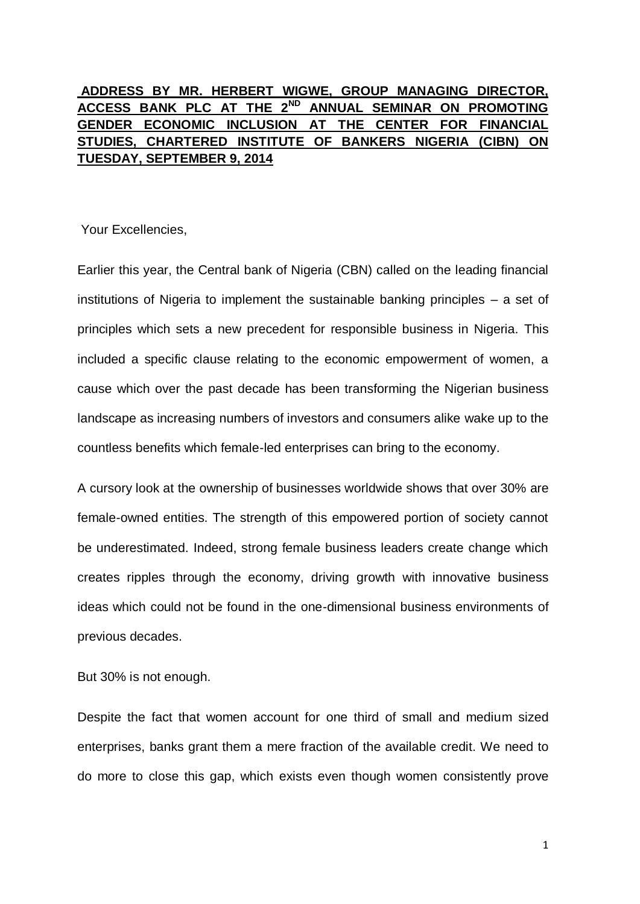## **ADDRESS BY MR. HERBERT WIGWE, GROUP MANAGING DIRECTOR, ACCESS BANK PLC AT THE 2ND ANNUAL SEMINAR ON PROMOTING GENDER ECONOMIC INCLUSION AT THE CENTER FOR FINANCIAL STUDIES, CHARTERED INSTITUTE OF BANKERS NIGERIA (CIBN) ON TUESDAY, SEPTEMBER 9, 2014**

Your Excellencies,

Earlier this year, the Central bank of Nigeria (CBN) called on the leading financial institutions of Nigeria to implement the sustainable banking principles – a set of principles which sets a new precedent for responsible business in Nigeria. This included a specific clause relating to the economic empowerment of women, a cause which over the past decade has been transforming the Nigerian business landscape as increasing numbers of investors and consumers alike wake up to the countless benefits which female-led enterprises can bring to the economy.

A cursory look at the ownership of businesses worldwide shows that over 30% are female-owned entities. The strength of this empowered portion of society cannot be underestimated. Indeed, strong female business leaders create change which creates ripples through the economy, driving growth with innovative business ideas which could not be found in the one-dimensional business environments of previous decades.

But 30% is not enough.

Despite the fact that women account for one third of small and medium sized enterprises, banks grant them a mere fraction of the available credit. We need to do more to close this gap, which exists even though women consistently prove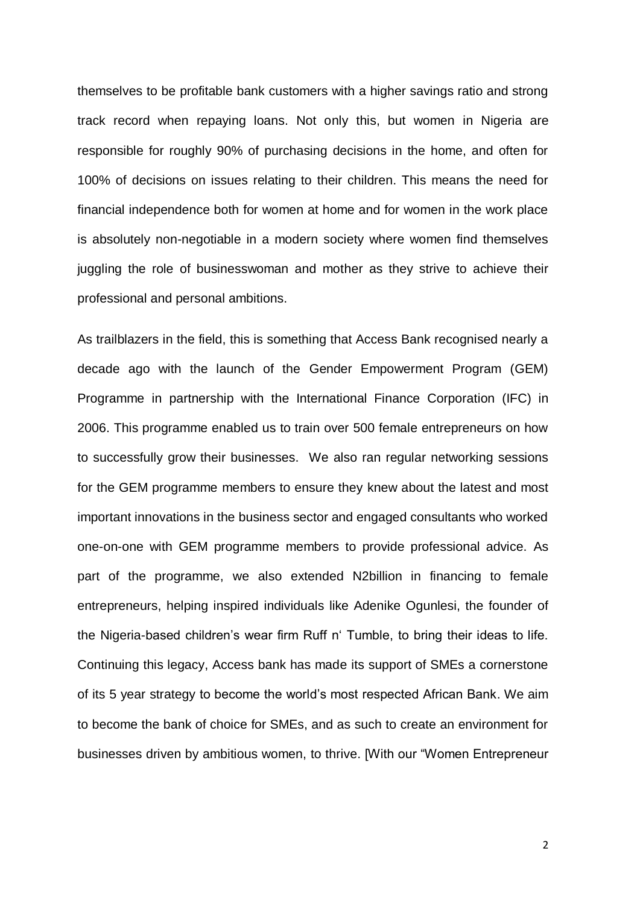themselves to be profitable bank customers with a higher savings ratio and strong track record when repaying loans. Not only this, but women in Nigeria are responsible for roughly 90% of purchasing decisions in the home, and often for 100% of decisions on issues relating to their children. This means the need for financial independence both for women at home and for women in the work place is absolutely non-negotiable in a modern society where women find themselves juggling the role of businesswoman and mother as they strive to achieve their professional and personal ambitions.

As trailblazers in the field, this is something that Access Bank recognised nearly a decade ago with the launch of the Gender Empowerment Program (GEM) Programme in partnership with the International Finance Corporation (IFC) in 2006. This programme enabled us to train over 500 female entrepreneurs on how to successfully grow their businesses. We also ran regular networking sessions for the GEM programme members to ensure they knew about the latest and most important innovations in the business sector and engaged consultants who worked one-on-one with GEM programme members to provide professional advice. As part of the programme, we also extended N2billion in financing to female entrepreneurs, helping inspired individuals like Adenike Ogunlesi, the founder of the Nigeria-based children's wear firm Ruff n' Tumble, to bring their ideas to life. Continuing this legacy, Access bank has made its support of SMEs a cornerstone of its 5 year strategy to become the world's most respected African Bank. We aim to become the bank of choice for SMEs, and as such to create an environment for businesses driven by ambitious women, to thrive. [With our "Women Entrepreneur

2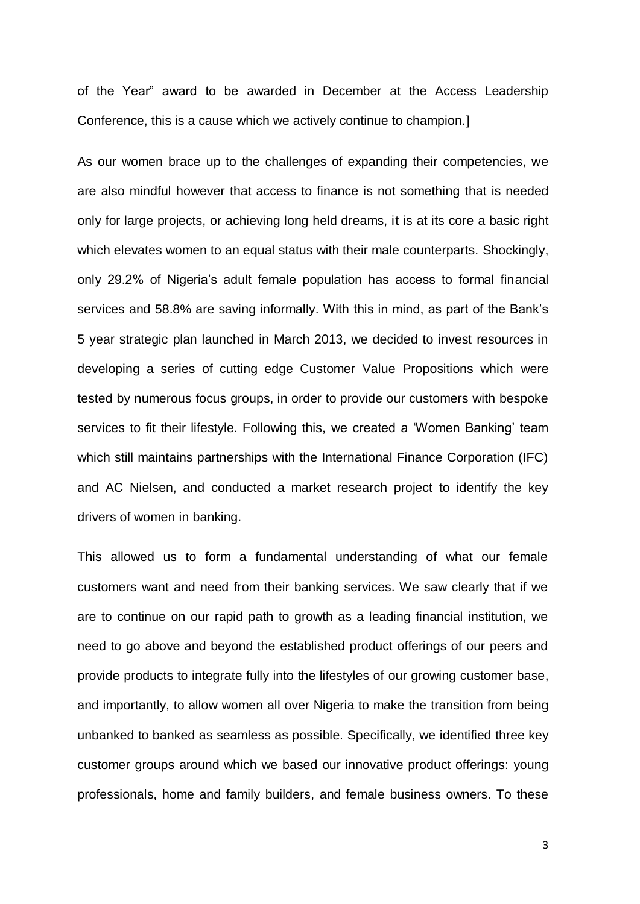of the Year" award to be awarded in December at the Access Leadership Conference, this is a cause which we actively continue to champion.]

As our women brace up to the challenges of expanding their competencies, we are also mindful however that access to finance is not something that is needed only for large projects, or achieving long held dreams, it is at its core a basic right which elevates women to an equal status with their male counterparts. Shockingly, only 29.2% of Nigeria's adult female population has access to formal financial services and 58.8% are saving informally. With this in mind, as part of the Bank's 5 year strategic plan launched in March 2013, we decided to invest resources in developing a series of cutting edge Customer Value Propositions which were tested by numerous focus groups, in order to provide our customers with bespoke services to fit their lifestyle. Following this, we created a 'Women Banking' team which still maintains partnerships with the International Finance Corporation (IFC) and AC Nielsen, and conducted a market research project to identify the key drivers of women in banking.

This allowed us to form a fundamental understanding of what our female customers want and need from their banking services. We saw clearly that if we are to continue on our rapid path to growth as a leading financial institution, we need to go above and beyond the established product offerings of our peers and provide products to integrate fully into the lifestyles of our growing customer base, and importantly, to allow women all over Nigeria to make the transition from being unbanked to banked as seamless as possible. Specifically, we identified three key customer groups around which we based our innovative product offerings: young professionals, home and family builders, and female business owners. To these

3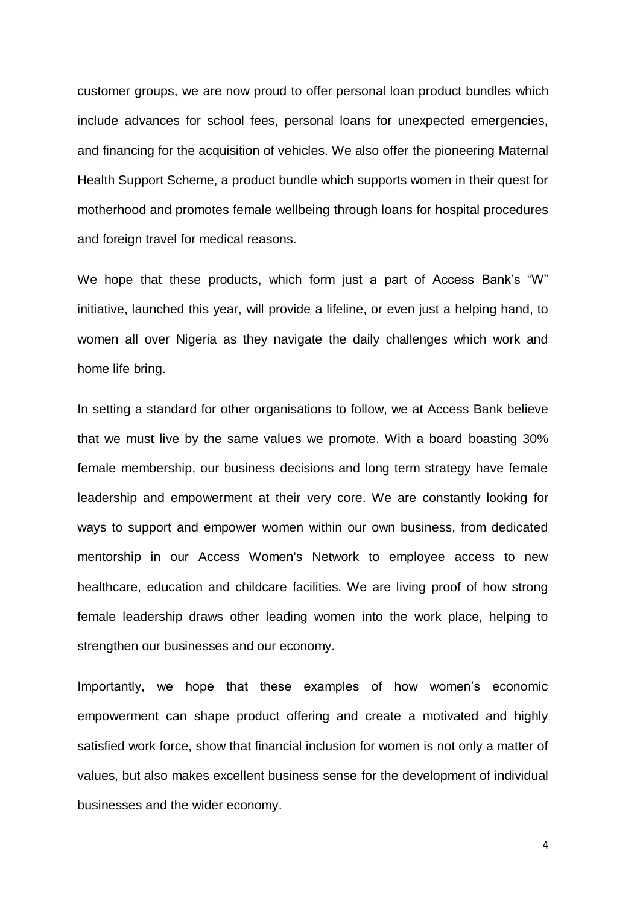customer groups, we are now proud to offer personal loan product bundles which include advances for school fees, personal loans for unexpected emergencies, and financing for the acquisition of vehicles. We also offer the pioneering Maternal Health Support Scheme, a product bundle which supports women in their quest for motherhood and promotes female wellbeing through loans for hospital procedures and foreign travel for medical reasons.

We hope that these products, which form just a part of Access Bank's "W" initiative, launched this year, will provide a lifeline, or even just a helping hand, to women all over Nigeria as they navigate the daily challenges which work and home life bring.

In setting a standard for other organisations to follow, we at Access Bank believe that we must live by the same values we promote. With a board boasting 30% female membership, our business decisions and long term strategy have female leadership and empowerment at their very core. We are constantly looking for ways to support and empower women within our own business, from dedicated mentorship in our Access Women's Network to employee access to new healthcare, education and childcare facilities. We are living proof of how strong female leadership draws other leading women into the work place, helping to strengthen our businesses and our economy.

Importantly, we hope that these examples of how women's economic empowerment can shape product offering and create a motivated and highly satisfied work force, show that financial inclusion for women is not only a matter of values, but also makes excellent business sense for the development of individual businesses and the wider economy.

4